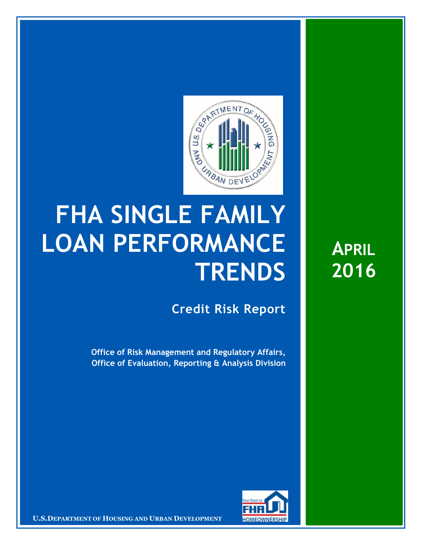

## **FHA SINGLE FAMILY LOAN PERFORMANCE TRENDS**

**Credit Risk Report**

**Office of Risk Management and Regulatory Affairs, Office of Evaluation, Reporting & Analysis Division** 



**U.S.DEPARTMENT OF HOUSING AND URBAN DEVELOPMENT <b>FOMEOWNERSHIP** 

**APRIL 2016**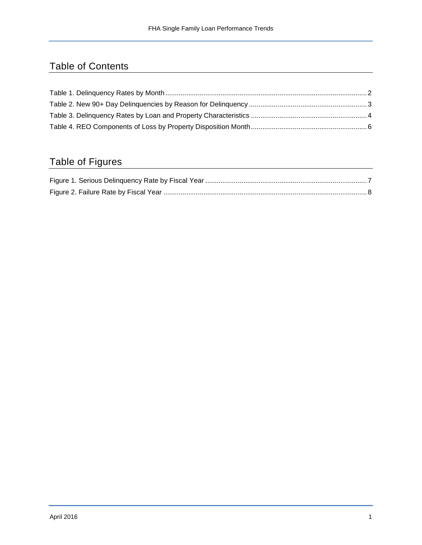## Table of Contents

## Table of Figures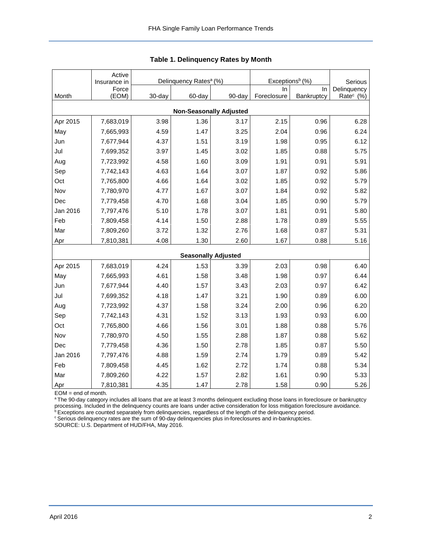|                                | Active<br>Insurance in |        | Delinquency Rates <sup>a</sup> (%) |                            | Exceptions <sup>b</sup> (%) | Serious    |                       |  |  |  |  |
|--------------------------------|------------------------|--------|------------------------------------|----------------------------|-----------------------------|------------|-----------------------|--|--|--|--|
|                                | Force                  |        |                                    |                            | In.                         | In         | Delinquency           |  |  |  |  |
| Month                          | (EOM)                  | 30-day | 60-day                             | 90-day                     | Foreclosure                 | Bankruptcy | Rate <sup>c</sup> (%) |  |  |  |  |
| <b>Non-Seasonally Adjusted</b> |                        |        |                                    |                            |                             |            |                       |  |  |  |  |
| Apr 2015                       | 7,683,019              | 3.98   | 1.36                               | 3.17                       | 2.15                        | 0.96       | 6.28                  |  |  |  |  |
| May                            | 7,665,993              | 4.59   | 1.47                               | 3.25                       | 2.04                        | 0.96       | 6.24                  |  |  |  |  |
| Jun                            | 7,677,944              | 4.37   | 1.51                               | 3.19                       | 1.98                        | 0.95       | 6.12                  |  |  |  |  |
| Jul                            | 7,699,352              | 3.97   | 1.45                               | 3.02                       | 1.85                        | 0.88       | 5.75                  |  |  |  |  |
| Aug                            | 7,723,992              | 4.58   | 1.60                               | 3.09                       | 1.91                        | 0.91       | 5.91                  |  |  |  |  |
| Sep                            | 7,742,143              | 4.63   | 1.64                               | 3.07                       | 1.87                        | 0.92       | 5.86                  |  |  |  |  |
| Oct                            | 7,765,800              | 4.66   | 1.64                               | 3.02                       | 1.85                        | 0.92       | 5.79                  |  |  |  |  |
| Nov                            | 7,780,970              | 4.77   | 1.67                               | 3.07                       | 1.84                        | 0.92       | 5.82                  |  |  |  |  |
| Dec                            | 7,779,458              | 4.70   | 1.68                               | 3.04                       | 1.85                        | 0.90       | 5.79                  |  |  |  |  |
| Jan 2016                       | 7,797,476              | 5.10   | 1.78                               | 3.07                       | 1.81                        | 0.91       | 5.80                  |  |  |  |  |
| Feb                            | 7,809,458              | 4.14   | 1.50                               | 2.88                       | 1.78                        | 0.89       | 5.55                  |  |  |  |  |
| Mar                            | 7,809,260              | 3.72   | 1.32                               | 2.76                       | 1.68                        | 0.87       | 5.31                  |  |  |  |  |
| Apr                            | 7,810,381              | 4.08   | 1.30                               | 2.60                       | 1.67                        | 0.88       | 5.16                  |  |  |  |  |
|                                |                        |        |                                    | <b>Seasonally Adjusted</b> |                             |            |                       |  |  |  |  |
| Apr 2015                       | 7,683,019              | 4.24   | 1.53                               | 3.39                       | 2.03                        | 0.98       | 6.40                  |  |  |  |  |
| May                            | 7,665,993              | 4.61   | 1.58                               | 3.48                       | 1.98                        | 0.97       | 6.44                  |  |  |  |  |
| Jun                            | 7,677,944              | 4.40   | 1.57                               | 3.43                       | 2.03                        | 0.97       | 6.42                  |  |  |  |  |
| Jul                            | 7,699,352              | 4.18   | 1.47                               | 3.21                       | 1.90                        | 0.89       | 6.00                  |  |  |  |  |
| Aug                            | 7,723,992              | 4.37   | 1.58                               | 3.24                       | 2.00                        | 0.96       | 6.20                  |  |  |  |  |
| Sep                            | 7,742,143              | 4.31   | 1.52                               | 3.13                       | 1.93                        | 0.93       | 6.00                  |  |  |  |  |
| Oct                            | 7,765,800              | 4.66   | 1.56                               | 3.01                       | 1.88                        | 0.88       | 5.76                  |  |  |  |  |
| Nov                            | 7,780,970              | 4.50   | 1.55                               | 2.88                       | 1.87                        | 0.88       | 5.62                  |  |  |  |  |
| Dec                            | 7,779,458              | 4.36   | 1.50                               | 2.78                       | 1.85                        | 0.87       | 5.50                  |  |  |  |  |
| Jan 2016                       | 7,797,476              | 4.88   | 1.59                               | 2.74                       | 1.79                        | 0.89       | 5.42                  |  |  |  |  |
| Feb                            | 7,809,458              | 4.45   | 1.62                               | 2.72                       | 1.74                        | 0.88       | 5.34                  |  |  |  |  |
| Mar                            | 7,809,260              | 4.22   | 1.57                               | 2.82                       | 1.61                        | 0.90       | 5.33                  |  |  |  |  |
| Apr                            | 7,810,381              | 4.35   | 1.47                               | 2.78                       | 1.58                        | 0.90       | 5.26                  |  |  |  |  |

<span id="page-2-0"></span>

EOM = end of month.

<sup>a</sup>The 90-day category includes all loans that are at least 3 months delinquent excluding those loans in foreclosure or bankruptcy processing. Included in the delinquency counts are loans under active consideration for loss mitigation foreclosure avoidance.

<sup>b</sup> Exceptions are counted separately from delinquencies, regardless of the length of the delinquency period.

<sup>c</sup> Serious delinquency rates are the sum of 90-day delinquencies plus in-foreclosures and in-bankruptcies.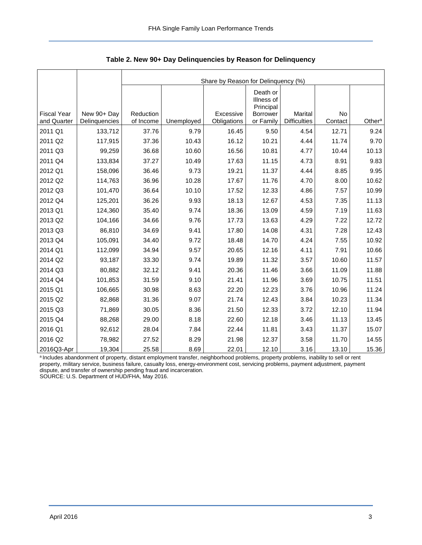<span id="page-3-0"></span>

|                                   |                              | Share by Reason for Delinquency (%) |            |                          |                                     |                                       |                      |                    |  |  |  |
|-----------------------------------|------------------------------|-------------------------------------|------------|--------------------------|-------------------------------------|---------------------------------------|----------------------|--------------------|--|--|--|
|                                   |                              |                                     |            |                          | Death or<br>Illness of<br>Principal |                                       |                      |                    |  |  |  |
| <b>Fiscal Year</b><br>and Quarter | New 90+ Day<br>Delinquencies | Reduction<br>of Income              | Unemployed | Excessive<br>Obligations | <b>Borrower</b><br>or Family        | <b>Marital</b><br><b>Difficulties</b> | <b>No</b><br>Contact | Other <sup>a</sup> |  |  |  |
| 2011 Q1                           | 133,712                      | 37.76                               | 9.79       | 16.45                    | 9.50                                | 4.54                                  | 12.71                | 9.24               |  |  |  |
| 2011 Q2                           | 117,915                      | 37.36                               | 10.43      | 16.12                    | 10.21                               | 4.44                                  | 11.74                | 9.70               |  |  |  |
| 2011 Q3                           | 99,259                       | 36.68                               | 10.60      | 16.56                    | 10.81                               | 4.77                                  | 10.44                | 10.13              |  |  |  |
| 2011 Q4                           | 133,834                      | 37.27                               | 10.49      | 17.63                    | 11.15                               | 4.73                                  | 8.91                 | 9.83               |  |  |  |
| 2012 Q1                           | 158,096                      | 36.46                               | 9.73       | 19.21                    | 11.37                               | 4.44                                  | 8.85                 | 9.95               |  |  |  |
| 2012 Q2                           | 114,763                      | 36.96                               | 10.28      | 17.67                    | 11.76                               | 4.70                                  | 8.00                 | 10.62              |  |  |  |
| 2012 Q3                           | 101,470                      | 36.64                               | 10.10      | 17.52                    | 12.33                               | 4.86                                  | 7.57                 | 10.99              |  |  |  |
| 2012 Q4                           | 125,201                      | 36.26                               | 9.93       | 18.13                    | 12.67                               | 4.53                                  | 7.35                 | 11.13              |  |  |  |
| 2013 Q1                           | 124,360                      | 35.40                               | 9.74       | 18.36                    | 13.09                               | 4.59                                  | 7.19                 | 11.63              |  |  |  |
| 2013 Q2                           | 104,166                      | 34.66                               | 9.76       | 17.73                    | 13.63                               | 4.29                                  | 7.22                 | 12.72              |  |  |  |
| 2013 Q3                           | 86,810                       | 34.69                               | 9.41       | 17.80                    | 14.08                               | 4.31                                  | 7.28                 | 12.43              |  |  |  |
| 2013 Q4                           | 105,091                      | 34.40                               | 9.72       | 18.48                    | 14.70                               | 4.24                                  | 7.55                 | 10.92              |  |  |  |
| 2014 Q1                           | 112,099                      | 34.94                               | 9.57       | 20.65                    | 12.16                               | 4.11                                  | 7.91                 | 10.66              |  |  |  |
| 2014 Q2                           | 93,187                       | 33.30                               | 9.74       | 19.89                    | 11.32                               | 3.57                                  | 10.60                | 11.57              |  |  |  |
| 2014 Q3                           | 80,882                       | 32.12                               | 9.41       | 20.36                    | 11.46                               | 3.66                                  | 11.09                | 11.88              |  |  |  |
| 2014 Q4                           | 101,853                      | 31.59                               | 9.10       | 21.41                    | 11.96                               | 3.69                                  | 10.75                | 11.51              |  |  |  |
| 2015 Q1                           | 106,665                      | 30.98                               | 8.63       | 22.20                    | 12.23                               | 3.76                                  | 10.96                | 11.24              |  |  |  |
| 2015 Q2                           | 82,868                       | 31.36                               | 9.07       | 21.74                    | 12.43                               | 3.84                                  | 10.23                | 11.34              |  |  |  |
| 2015 Q3                           | 71,869                       | 30.05                               | 8.36       | 21.50                    | 12.33                               | 3.72                                  | 12.10                | 11.94              |  |  |  |
| 2015 Q4                           | 88,268                       | 29.00                               | 8.18       | 22.60                    | 12.18                               | 3.46                                  | 11.13                | 13.45              |  |  |  |
| 2016 Q1                           | 92,612                       | 28.04                               | 7.84       | 22.44                    | 11.81                               | 3.43                                  | 11.37                | 15.07              |  |  |  |
| 2016 Q2                           | 78,982                       | 27.52                               | 8.29       | 21.98                    | 12.37                               | 3.58                                  | 11.70                | 14.55              |  |  |  |
| 2016Q3-Apr                        | 19,304                       | 25.58                               | 8.69       | 22.01                    | 12.10                               | 3.16                                  | 13.10                | 15.36              |  |  |  |

<span id="page-3-1"></span>**Table 2. New 90+ Day Delinquencies by Reason for Delinquency** 

a Includes abandonment of property, distant employment transfer, neighborhood problems, property problems, inability to sell or rent property, military service, business failure, casualty loss, energy-environment cost, servicing problems, payment adjustment, payment dispute, and transfer of ownership pending fraud and incarceration. SOURCE: U.S. Department of HUD/FHA, May 2016.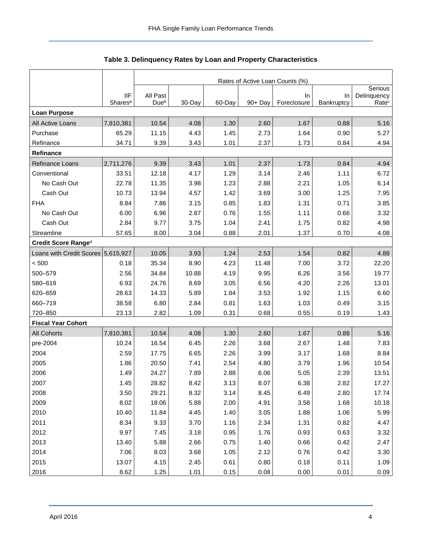<span id="page-4-0"></span>

|                                    |                                   | Rates of Active Loan Counts (%) |        |        |            |                   |                  |                   |  |  |
|------------------------------------|-----------------------------------|---------------------------------|--------|--------|------------|-------------------|------------------|-------------------|--|--|
|                                    |                                   |                                 |        |        |            |                   |                  |                   |  |  |
|                                    | <b>IIF</b><br>Shares <sup>a</sup> | All Past<br>Due <sup>b</sup>    | 30-Day | 60-Day |            | In<br>Foreclosure | In<br>Bankruptcy | Delinquency       |  |  |
| <b>Loan Purpose</b>                |                                   |                                 |        |        | $90 + Day$ |                   |                  | Rate <sup>c</sup> |  |  |
| All Active Loans                   | 7,810,381                         | 10.54                           | 4.08   | 1.30   | 2.60       | 1.67              | 0.88             | 5.16              |  |  |
| Purchase                           | 65.29                             | 11.15                           | 4.43   | 1.45   | 2.73       | 1.64              | 0.90             | 5.27              |  |  |
| Refinance                          | 34.71                             | 9.39                            | 3.43   | 1.01   | 2.37       | 1.73              | 0.84             | 4.94              |  |  |
| Refinance                          |                                   |                                 |        |        |            |                   |                  |                   |  |  |
| <b>Refinance Loans</b>             | 2,711,276                         | 9.39                            | 3.43   | 1.01   | 2.37       | 1.73              | 0.84             | 4.94              |  |  |
| Conventional                       | 33.51                             | 12.18                           | 4.17   | 1.29   | 3.14       | 2.46              | 1.11             | 6.72              |  |  |
| No Cash Out                        | 22.78                             | 11.35                           | 3.98   | 1.23   | 2.88       | 2.21              | 1.05             | 6.14              |  |  |
| Cash Out                           | 10.73                             | 13.94                           | 4.57   | 1.42   | 3.69       | 3.00              | 1.25             | 7.95              |  |  |
| <b>FHA</b>                         | 8.84                              | 7.86                            | 3.15   | 0.85   | 1.83       | 1.31              | 0.71             | 3.85              |  |  |
| No Cash Out                        | 6.00                              | 6.96                            | 2.87   | 0.76   | 1.55       | 1.11              | 0.66             | 3.32              |  |  |
| Cash Out                           | 2.84                              | 9.77                            | 3.75   | 1.04   | 2.41       | 1.75              | 0.82             | 4.98              |  |  |
| Streamline                         | 57.65                             | 8.00                            | 3.04   | 0.88   | 2.01       | 1.37              | 0.70             | 4.08              |  |  |
| Credit Score Ranged                |                                   |                                 |        |        |            |                   |                  |                   |  |  |
| Loans with Credit Scores 5,615,927 |                                   | 10.05                           | 3.93   | 1.24   | 2.53       | 1.54              | 0.82             | 4.88              |  |  |
| < 500                              | 0.18                              | 35.34                           | 8.90   | 4.23   | 11.48      | 7.00              | 3.72             | 22.20             |  |  |
| 500-579                            | 2.56                              | 34.84                           | 10.88  | 4.19   | 9.95       | 6.26              | 3.56             | 19.77             |  |  |
| 580-619                            | 6.93                              | 24.76                           | 8.69   | 3.05   | 6.56       | 4.20              | 2.26             | 13.01             |  |  |
| 620-659                            | 28.63                             | 14.33                           | 5.89   | 1.84   | 3.53       | 1.92              | 1.15             | 6.60              |  |  |
| 660-719                            | 38.58                             | 6.80                            | 2.84   | 0.81   | 1.63       | 1.03              | 0.49             | 3.15              |  |  |
| 720-850                            | 23.13                             | 2.82                            | 1.09   | 0.31   | 0.68       | 0.55              | 0.19             | 1.43              |  |  |
| <b>Fiscal Year Cohort</b>          |                                   |                                 |        |        |            |                   |                  |                   |  |  |
| <b>All Cohorts</b>                 | 7,810,381                         | 10.54                           | 4.08   | 1.30   | 2.60       | 1.67              | 0.88             | 5.16              |  |  |
| pre-2004                           | 10.24                             | 16.54                           | 6.45   | 2.26   | 3.68       | 2.67              | 1.48             | 7.83              |  |  |
| 2004                               | 2.59                              | 17.75                           | 6.65   | 2.26   | 3.99       | 3.17              | 1.68             | 8.84              |  |  |
| 2005                               | 1.86                              | 20.50                           | 7.41   | 2.54   | 4.80       | 3.79              | 1.96             | 10.54             |  |  |
| 2006                               | 1.49                              | 24.27                           | 7.89   | 2.88   | 6.06       | 5.05              | 2.39             | 13.51             |  |  |
| 2007                               | 1.45                              | 28.82                           | 8.42   | 3.13   | 8.07       | 6.38              | 2.82             | 17.27             |  |  |
| 2008                               | 3.50                              | 29.21                           | 8.32   | 3.14   | 8.45       | 6.49              | 2.80             | 17.74             |  |  |
| 2009                               | 8.02                              | 18.06                           | 5.88   | 2.00   | 4.91       | 3.58              | 1.68             | 10.18             |  |  |
| 2010                               | 10.40                             | 11.84                           | 4.45   | 1.40   | 3.05       | 1.88              | 1.06             | 5.99              |  |  |
| 2011                               | 8.34                              | 9.33                            | 3.70   | 1.16   | 2.34       | 1.31              | 0.82             | 4.47              |  |  |
| 2012                               | 9.97                              | 7.45                            | 3.18   | 0.95   | 1.76       | 0.93              | 0.63             | 3.32              |  |  |
| 2013                               | 13.40                             | 5.88                            | 2.66   | 0.75   | 1.40       | 0.66              | 0.42             | 2.47              |  |  |
| 2014                               | 7.06                              | 8.03                            | 3.68   | 1.05   | 2.12       | 0.76              | 0.42             | 3.30              |  |  |
| 2015                               | 13.07                             | 4.15                            | 2.45   | 0.61   | 0.80       | 0.18              | 0.11             | 1.09              |  |  |
| 2016                               | 8.62                              | 1.25                            | 1.01   | 0.15   | 0.08       | 0.00              | 0.01             | 0.09              |  |  |

## <span id="page-4-1"></span>**Table 3. Delinquency Rates by Loan and Property Characteristics**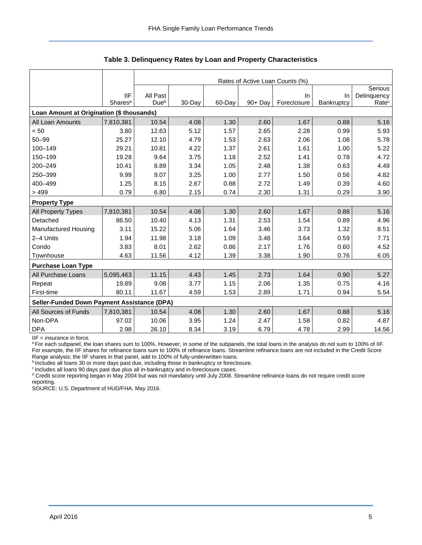|                                             |                     | Rates of Active Loan Counts (%) |        |        |            |             |            |                   |  |  |  |
|---------------------------------------------|---------------------|---------------------------------|--------|--------|------------|-------------|------------|-------------------|--|--|--|
|                                             |                     |                                 |        |        |            |             |            | Serious           |  |  |  |
|                                             | <b>IIF</b>          | All Past                        |        |        |            | In.         | <b>In</b>  | Delinquency       |  |  |  |
|                                             | Shares <sup>a</sup> | Due <sup>b</sup>                | 30-Day | 60-Day | $90 + Day$ | Foreclosure | Bankruptcy | Rate <sup>c</sup> |  |  |  |
| Loan Amount at Origination (\$ thousands)   |                     |                                 |        |        |            |             |            |                   |  |  |  |
| All Loan Amounts                            | 7,810,381           | 10.54                           | 4.08   | 1.30   | 2.60       | 1.67        | 0.88       | 5.16              |  |  |  |
| < 50                                        | 3.80                | 12.63                           | 5.12   | 1.57   | 2.65       | 2.28        | 0.99       | 5.93              |  |  |  |
| $50 - 99$                                   | 25.27               | 12.10                           | 4.79   | 1.53   | 2.63       | 2.06        | 1.08       | 5.78              |  |  |  |
| 100-149                                     | 29.21               | 10.81                           | 4.22   | 1.37   | 2.61       | 1.61        | 1.00       | 5.22              |  |  |  |
| 150-199                                     | 19.28               | 9.64                            | 3.75   | 1.18   | 2.52       | 1.41        | 0.78       | 4.72              |  |  |  |
| 200-249                                     | 10.41               | 8.89                            | 3.34   | 1.05   | 2.48       | 1.38        | 0.63       | 4.49              |  |  |  |
| 250-399                                     | 9.99                | 9.07                            | 3.25   | 1.00   | 2.77       | 1.50        | 0.56       | 4.82              |  |  |  |
| 400-499                                     | 1.25                | 8.15                            | 2.67   | 0.88   | 2.72       | 1.49        | 0.39       | 4.60              |  |  |  |
| >499                                        | 0.79                | 6.80                            | 2.15   | 0.74   | 2.30       | 1.31        | 0.29       | 3.90              |  |  |  |
| <b>Property Type</b>                        |                     |                                 |        |        |            |             |            |                   |  |  |  |
| All Property Types                          | 7,810,381           | 10.54                           | 4.08   | 1.30   | 2.60       | 1.67        | 0.88       | 5.16              |  |  |  |
| Detached                                    | 86.50               | 10.40                           | 4.13   | 1.31   | 2.53       | 1.54        | 0.89       | 4.96              |  |  |  |
| Manufactured Housing                        | 3.11                | 15.22                           | 5.06   | 1.64   | 3.46       | 3.73        | 1.32       | 8.51              |  |  |  |
| 2-4 Units                                   | 1.94                | 11.98                           | 3.18   | 1.09   | 3.48       | 3.64        | 0.59       | 7.71              |  |  |  |
| Condo                                       | 3.83                | 8.01                            | 2.62   | 0.86   | 2.17       | 1.76        | 0.60       | 4.52              |  |  |  |
| Townhouse                                   | 4.63                | 11.56                           | 4.12   | 1.39   | 3.38       | 1.90        | 0.76       | 6.05              |  |  |  |
| <b>Purchase Loan Type</b>                   |                     |                                 |        |        |            |             |            |                   |  |  |  |
| All Purchase Loans                          | 5,095,463           | 11.15                           | 4.43   | 1.45   | 2.73       | 1.64        | 0.90       | 5.27              |  |  |  |
| Repeat                                      | 19.89               | 9.08                            | 3.77   | 1.15   | 2.06       | 1.35        | 0.75       | 4.16              |  |  |  |
| First-time                                  | 80.11               | 11.67                           | 4.59   | 1.53   | 2.89       | 1.71        | 0.94       | 5.54              |  |  |  |
| Seller-Funded Down Payment Assistance (DPA) |                     |                                 |        |        |            |             |            |                   |  |  |  |
| All Sources of Funds                        | 7,810,381           | 10.54                           | 4.08   | 1.30   | 2.60       | 1.67        | 0.88       | 5.16              |  |  |  |
| Non-DPA                                     | 97.02               | 10.06                           | 3.95   | 1.24   | 2.47       | 1.58        | 0.82       | 4.87              |  |  |  |
| <b>DPA</b>                                  | 2.98                | 26.10                           | 8.34   | 3.19   | 6.79       | 4.78        | 2.99       | 14.56             |  |  |  |

**Table 3. Delinquency Rates by Loan and Property Characteristics** 

IIF = insurance in force.

a For each subpanel, the loan shares sum to 100%. However, in some of the subpanels, the total loans in the analysis do not sum to 100% of IIF. For example, the IIF shares for refinance loans sum to 100% of refinance loans. Streamline refinance loans are not included in the Credit Score Range analysis; the IIF shares in that panel, add to 100% of fully-underwritten loans.

bincludes all loans 30 or more days past due, including those in bankruptcy or foreclosure.

<sup>c</sup> Includes all loans 90 days past due plus all in-bankruptcy and in-foreclosure cases.

<sup>d</sup> Credit score reporting began in May 2004 but was not mandatory until July 2008. Streamline refinance loans do not require credit score reporting.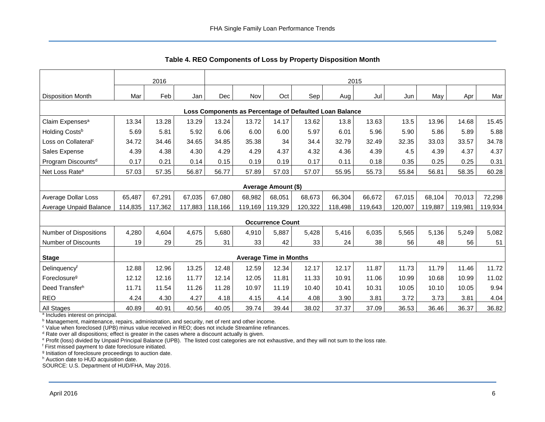<span id="page-6-0"></span>

|                                                         | 2016    |         |         |         | 2015    |                               |         |         |         |         |         |         |         |
|---------------------------------------------------------|---------|---------|---------|---------|---------|-------------------------------|---------|---------|---------|---------|---------|---------|---------|
| <b>Disposition Month</b>                                | Mar     | Feb     | Jan     | Dec     | Nov     | Oct                           | Sep     | Aug     | Jul     | Jun     | May     | Apr     | Mar     |
| Loss Components as Percentage of Defaulted Loan Balance |         |         |         |         |         |                               |         |         |         |         |         |         |         |
| Claim Expenses <sup>a</sup>                             | 13.34   | 13.28   | 13.29   | 13.24   | 13.72   | 14.17                         | 13.62   | 13.8    | 13.63   | 13.5    | 13.96   | 14.68   | 15.45   |
| Holding Costs <sup>b</sup>                              | 5.69    | 5.81    | 5.92    | 6.06    | 6.00    | 6.00                          | 5.97    | 6.01    | 5.96    | 5.90    | 5.86    | 5.89    | 5.88    |
| Loss on Collateral <sup>c</sup>                         | 34.72   | 34.46   | 34.65   | 34.85   | 35.38   | 34                            | 34.4    | 32.79   | 32.49   | 32.35   | 33.03   | 33.57   | 34.78   |
| Sales Expense                                           | 4.39    | 4.38    | 4.30    | 4.29    | 4.29    | 4.37                          | 4.32    | 4.36    | 4.39    | 4.5     | 4.39    | 4.37    | 4.37    |
| Program Discounts <sup>d</sup>                          | 0.17    | 0.21    | 0.14    | 0.15    | 0.19    | 0.19                          | 0.17    | 0.11    | 0.18    | 0.35    | 0.25    | 0.25    | 0.31    |
| Net Loss Rate <sup>e</sup>                              | 57.03   | 57.35   | 56.87   | 56.77   | 57.89   | 57.03                         | 57.07   | 55.95   | 55.73   | 55.84   | 56.81   | 58.35   | 60.28   |
|                                                         |         |         |         |         |         | <b>Average Amount (\$)</b>    |         |         |         |         |         |         |         |
| Average Dollar Loss                                     | 65,487  | 67,291  | 67,035  | 67,080  | 68,982  | 68,051                        | 68,673  | 66,304  | 66,672  | 67,015  | 68,104  | 70,013  | 72,298  |
| Average Unpaid Balance                                  | 114,835 | 117,362 | 117,883 | 118,166 | 119,169 | 119,329                       | 120,322 | 118,498 | 119,643 | 120,007 | 119,887 | 119,981 | 119,934 |
|                                                         |         |         |         |         |         | <b>Occurrence Count</b>       |         |         |         |         |         |         |         |
| <b>Number of Dispositions</b>                           | 4,280   | 4,604   | 4,675   | 5,680   | 4,910   | 5,887                         | 5,428   | 5,416   | 6,035   | 5,565   | 5,136   | 5,249   | 5,082   |
| Number of Discounts                                     | 19      | 29      | 25      | 31      | 33      | 42                            | 33      | 24      | 38      | 56      | 48      | 56      | 51      |
| <b>Stage</b>                                            |         |         |         |         |         | <b>Average Time in Months</b> |         |         |         |         |         |         |         |
| Delinquencyf                                            | 12.88   | 12.96   | 13.25   | 12.48   | 12.59   | 12.34                         | 12.17   | 12.17   | 11.87   | 11.73   | 11.79   | 11.46   | 11.72   |
| Foreclosure <sup>g</sup>                                | 12.12   | 12.16   | 11.77   | 12.14   | 12.05   | 11.81                         | 11.33   | 10.91   | 11.06   | 10.99   | 10.68   | 10.99   | 11.02   |
| Deed Transfer <sup>h</sup>                              | 11.71   | 11.54   | 11.26   | 11.28   | 10.97   | 11.19                         | 10.40   | 10.41   | 10.31   | 10.05   | 10.10   | 10.05   | 9.94    |
| <b>REO</b>                                              | 4.24    | 4.30    | 4.27    | 4.18    | 4.15    | 4.14                          | 4.08    | 3.90    | 3.81    | 3.72    | 3.73    | 3.81    | 4.04    |
| <b>All Stages</b>                                       | 40.89   | 40.91   | 40.56   | 40.05   | 39.74   | 39.44                         | 38.02   | 37.37   | 37.09   | 36.53   | 36.46   | 36.37   | 36.82   |

<span id="page-6-1"></span>**Table 4. REO Components of Loss by Property Disposition Month** 

<sup>a</sup> Includes interest on principal.

<sup>b</sup> Management, maintenance, repairs, administration, and security, net of rent and other income.

<sup>c</sup> Value when foreclosed (UPB) minus value received in REO; does not include Streamline refinances.

<sup>d</sup> Rate over all dispositions; effect is greater in the cases where a discount actually is given.

e Profit (loss) divided by Unpaid Principal Balance (UPB). The listed cost categories are not exhaustive, and they will not sum to the loss rate.

f First missed payment to date foreclosure initiated.

<sup>g</sup> Initiation of foreclosure proceedings to auction date.

h Auction date to HUD acquisition date.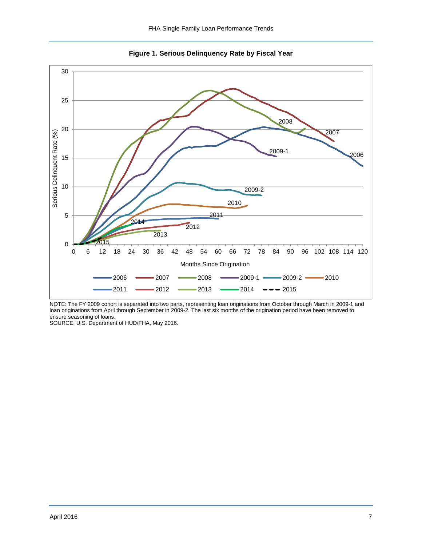<span id="page-7-0"></span>

<span id="page-7-1"></span>**Figure 1. Serious Delinquency Rate by Fiscal Year** 

NOTE: The FY 2009 cohort is separated into two parts, representing loan originations from October through March in 2009-1 and loan originations from April through September in 2009-2. The last six months of the origination period have been removed to ensure seasoning of loans.